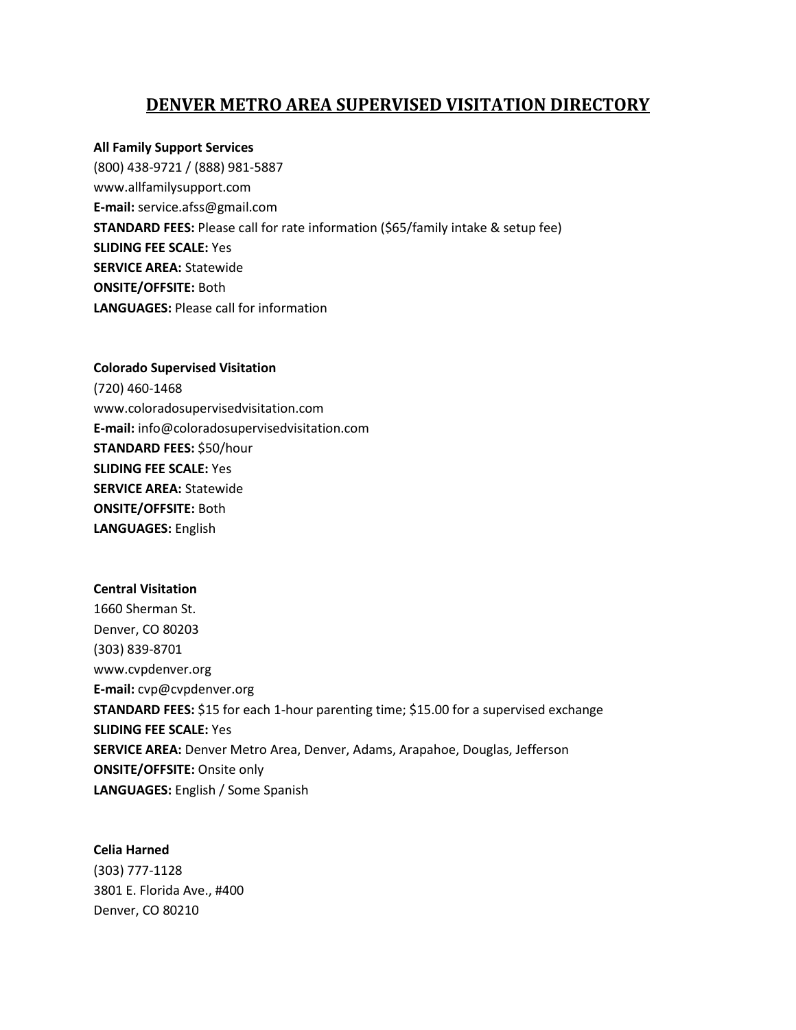### **DENVER METRO AREA SUPERVISED VISITATION DIRECTORY**

### **All Family Support Services**

(800) 438-9721 / (888) 981-5887 www.allfamilysupport.com **E-mail:** service.afss@gmail.com **STANDARD FEES:** Please call for rate information (\$65/family intake & setup fee) **SLIDING FEE SCALE:** Yes **SERVICE AREA:** Statewide **ONSITE/OFFSITE:** Both **LANGUAGES:** Please call for information

## **Colorado Supervised Visitation** (720) 460-1468 www.coloradosupervisedvisitation.com **E-mail:** info@coloradosupervisedvisitation.com **STANDARD FEES:** \$50/hour **SLIDING FEE SCALE:** Yes **SERVICE AREA:** Statewide **ONSITE/OFFSITE:** Both **LANGUAGES:** English

# **Central Visitation** 1660 Sherman St. Denver, CO 80203 (303) 839-8701 www.cvpdenver.org **E-mail:** cvp@cvpdenver.org **STANDARD FEES:** \$15 for each 1-hour parenting time; \$15.00 for a supervised exchange **SLIDING FEE SCALE:** Yes **SERVICE AREA:** Denver Metro Area, Denver, Adams, Arapahoe, Douglas, Jefferson **ONSITE/OFFSITE:** Onsite only **LANGUAGES:** English / Some Spanish

#### **Celia Harned**

(303) 777-1128 3801 E. Florida Ave., #400 Denver, CO 80210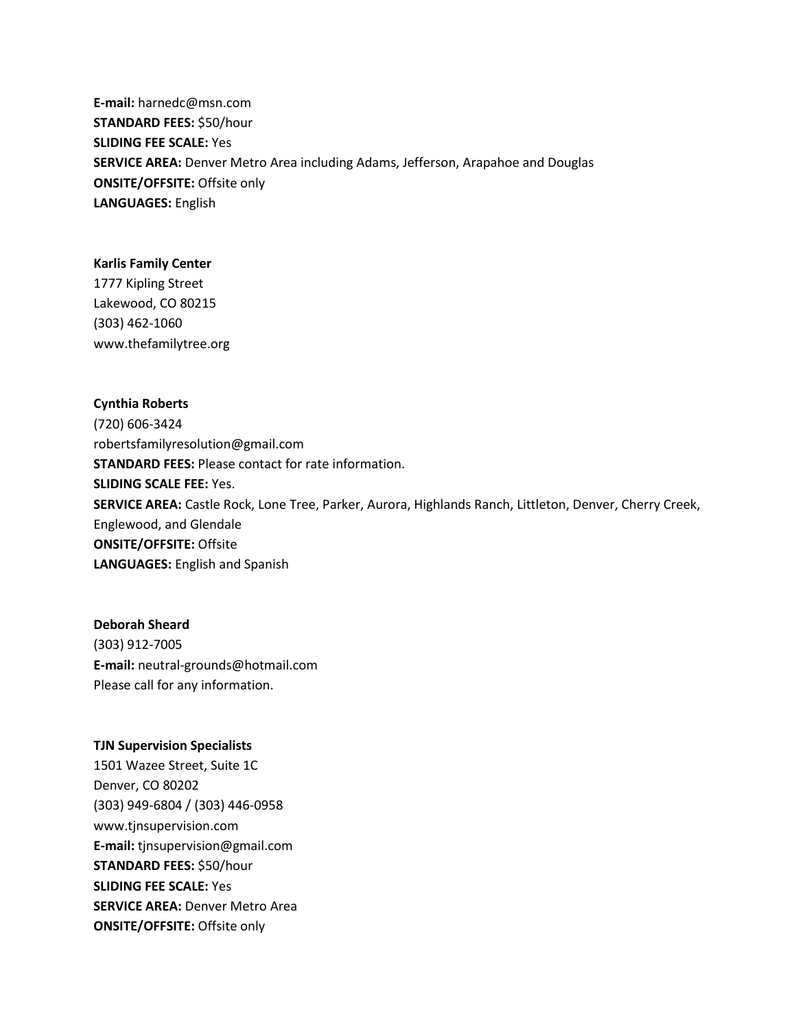**E-mail:** harnedc@msn.com **STANDARD FEES:** \$50/hour **SLIDING FEE SCALE:** Yes **SERVICE AREA:** Denver Metro Area including Adams, Jefferson, Arapahoe and Douglas **ONSITE/OFFSITE:** Offsite only **LANGUAGES:** English

#### **Karlis Family Center**

1777 Kipling Street Lakewood, CO 80215 (303) 462-1060 www.thefamilytree.org

#### **Cynthia Roberts**

(720) 606-3424 robertsfamilyresolution@gmail.com **STANDARD FEES:** Please contact for rate information. **SLIDING SCALE FEE:** Yes. **SERVICE AREA:** Castle Rock, Lone Tree, Parker, Aurora, Highlands Ranch, Littleton, Denver, Cherry Creek, Englewood, and Glendale **ONSITE/OFFSITE:** Offsite **LANGUAGES:** English and Spanish

**Deborah Sheard** (303) 912-7005 **E-mail:** neutral-grounds@hotmail.com Please call for any information.

#### **TJN Supervision Specialists**

1501 Wazee Street, Suite 1C Denver, CO 80202 (303) 949-6804 / (303) 446-0958 www.tjnsupervision.com **E-mail:** tjnsupervision@gmail.com **STANDARD FEES:** \$50/hour **SLIDING FEE SCALE:** Yes **SERVICE AREA:** Denver Metro Area **ONSITE/OFFSITE:** Offsite only